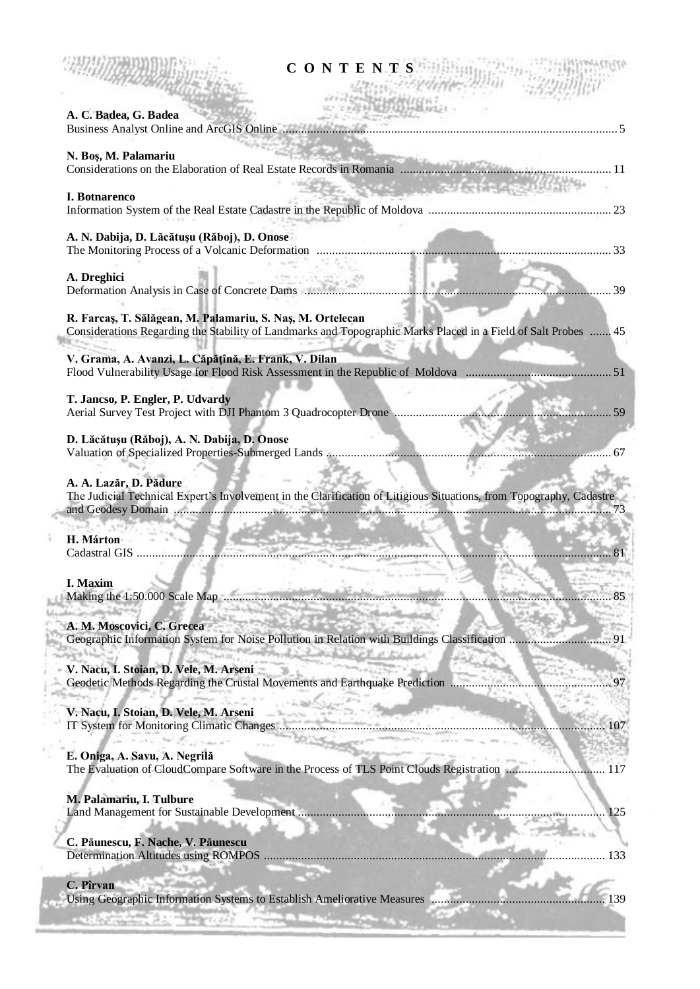| CONTENTS                                                                                                                                                                                                                                                                              |
|---------------------------------------------------------------------------------------------------------------------------------------------------------------------------------------------------------------------------------------------------------------------------------------|
| A. C. Badea, G. Badea<br>$\sim$ 5.000 mm $\sim$ 5.000 mm $\sim$ 5.000 mm $\sim$ 5.000 mm $\sim$ 5.000 mm $\sim$ 5.000 mm $\sim$ 5.000 mm $\sim$ 5.000 mm $\sim$ 5.000 mm $\sim$ 5.000 mm $\sim$ 5.000 mm $\sim$ 5.000 mm $\sim$ 5.000 mm $\sim$ 5.000 mm $\sim$ 5.000 mm $\sim$ 5.000 |
| N. Boș, M. Palamariu                                                                                                                                                                                                                                                                  |
| <b>Service Constitution of the Constitution of the Constitution Constitution</b><br><b>I. Botnarenco</b>                                                                                                                                                                              |
| A. N. Dabija, D. Lăcătușu (Răboj), D. Onose                                                                                                                                                                                                                                           |
| A. Dreghici<br>Deformation Analysis in Case of Concrete Dams<br>$\ldots$ 39                                                                                                                                                                                                           |
| R. Farcaș, T. Sălăgean, M. Palamariu, S. Naș, M. Ortelecan<br>Considerations Regarding the Stability of Landmarks and Topographic Marks Placed in a Field of Salt Probes  45                                                                                                          |
| V. Grama, A. Avanzi, L. Căpățînă, E. Frank, V. Dilan                                                                                                                                                                                                                                  |
| T. Jancso, P. Engler, P. Udvardy<br>.59                                                                                                                                                                                                                                               |
| D. Lăcătușu (Răboj), A. N. Dabija, D. Onose                                                                                                                                                                                                                                           |
| A. A. Lazăr, D. Pădure<br>The Judicial Technical Expert's Involvement in the Clarification of Litigious Situations, from Topography, Cadastre                                                                                                                                         |
| H. Márton                                                                                                                                                                                                                                                                             |
| I. Maxim                                                                                                                                                                                                                                                                              |
| A. M. Moscovici, C. Grecea<br>Geographic Information System for Noise Pollution in Relation with Buildings Classification<br>91                                                                                                                                                       |
| V. Nacu, I. Stoian, D. Vele, M. Arseni<br>Geodetic Methods Regarding the Crustal Movements and Earthquake Prediction                                                                                                                                                                  |
| V. Nacu, I. Stoian, D. Vele, M. Arseni<br>IT System for Monitoring Climatic Changes<br>107                                                                                                                                                                                            |
| E. Oniga, A. Savu, A. Negrilă<br>The Evaluation of CloudCompare Software in the Process of TLS Point Clouds Registration<br>117                                                                                                                                                       |
| M. Palamariu, I. Tulbure<br>125<br>C. Păunescu, F. Nache, V. Păunescu                                                                                                                                                                                                                 |
| C. Pîrvan<br>Using Geographic Information Systems to Establish Ameliorative Measures                                                                                                                                                                                                  |

 $\bar{\rm{1}}$ ø